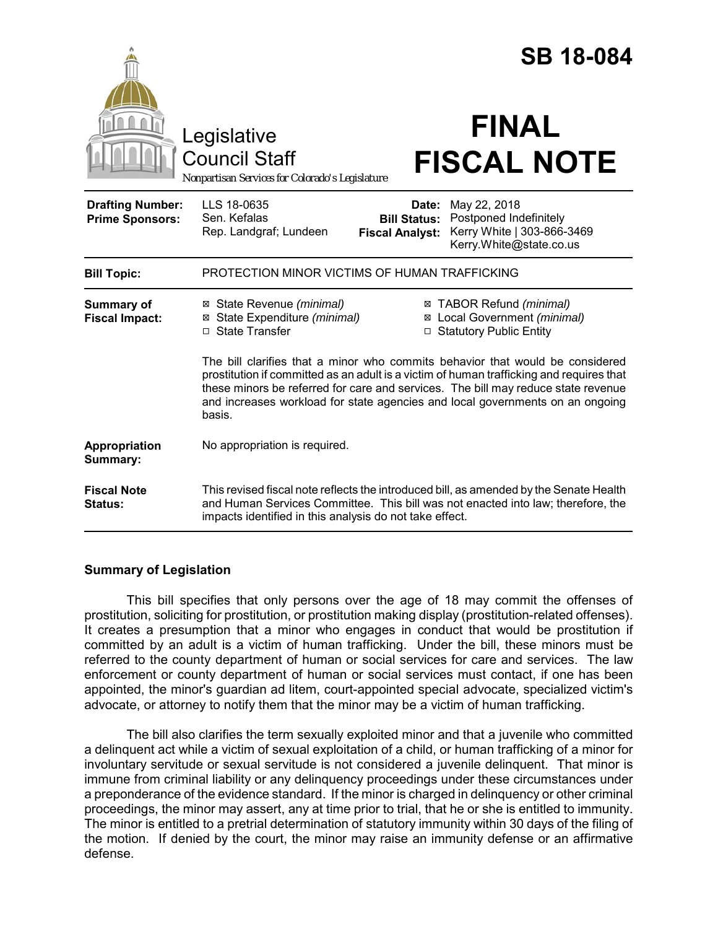|                                                   |                                                                                                                                                                                                                                                                                                                                                           | <b>SB 18-084</b>                                                                                                                                          |
|---------------------------------------------------|-----------------------------------------------------------------------------------------------------------------------------------------------------------------------------------------------------------------------------------------------------------------------------------------------------------------------------------------------------------|-----------------------------------------------------------------------------------------------------------------------------------------------------------|
|                                                   | Legislative                                                                                                                                                                                                                                                                                                                                               | <b>FINAL</b>                                                                                                                                              |
|                                                   | <b>Council Staff</b><br>Nonpartisan Services for Colorado's Legislature                                                                                                                                                                                                                                                                                   | <b>FISCAL NOTE</b>                                                                                                                                        |
| <b>Drafting Number:</b><br><b>Prime Sponsors:</b> | LLS 18-0635<br>Sen. Kefalas<br>Rep. Landgraf; Lundeen                                                                                                                                                                                                                                                                                                     | May 22, 2018<br>Date:<br>Postponed Indefinitely<br><b>Bill Status:</b><br>Kerry White   303-866-3469<br><b>Fiscal Analyst:</b><br>Kerry.White@state.co.us |
| <b>Bill Topic:</b>                                | PROTECTION MINOR VICTIMS OF HUMAN TRAFFICKING                                                                                                                                                                                                                                                                                                             |                                                                                                                                                           |
| <b>Summary of</b><br><b>Fiscal Impact:</b>        | ⊠ State Revenue (minimal)<br>⊠ State Expenditure (minimal)<br>□ State Transfer                                                                                                                                                                                                                                                                            | ⊠ TABOR Refund (minimal)<br>⊠ Local Government (minimal)<br>□ Statutory Public Entity                                                                     |
|                                                   | The bill clarifies that a minor who commits behavior that would be considered<br>prostitution if committed as an adult is a victim of human trafficking and requires that<br>these minors be referred for care and services. The bill may reduce state revenue<br>and increases workload for state agencies and local governments on an ongoing<br>basis. |                                                                                                                                                           |
| Appropriation<br>Summary:                         | No appropriation is required.                                                                                                                                                                                                                                                                                                                             |                                                                                                                                                           |
| <b>Fiscal Note</b><br><b>Status:</b>              | This revised fiscal note reflects the introduced bill, as amended by the Senate Health<br>and Human Services Committee. This bill was not enacted into law; therefore, the<br>impacts identified in this analysis do not take effect.                                                                                                                     |                                                                                                                                                           |

### **Summary of Legislation**

This bill specifies that only persons over the age of 18 may commit the offenses of prostitution, soliciting for prostitution, or prostitution making display (prostitution-related offenses). It creates a presumption that a minor who engages in conduct that would be prostitution if committed by an adult is a victim of human trafficking. Under the bill, these minors must be referred to the county department of human or social services for care and services. The law enforcement or county department of human or social services must contact, if one has been appointed, the minor's guardian ad litem, court-appointed special advocate, specialized victim's advocate, or attorney to notify them that the minor may be a victim of human trafficking.

The bill also clarifies the term sexually exploited minor and that a juvenile who committed a delinquent act while a victim of sexual exploitation of a child, or human trafficking of a minor for involuntary servitude or sexual servitude is not considered a juvenile delinquent. That minor is immune from criminal liability or any delinquency proceedings under these circumstances under a preponderance of the evidence standard. If the minor is charged in delinquency or other criminal proceedings, the minor may assert, any at time prior to trial, that he or she is entitled to immunity. The minor is entitled to a pretrial determination of statutory immunity within 30 days of the filing of the motion. If denied by the court, the minor may raise an immunity defense or an affirmative defense.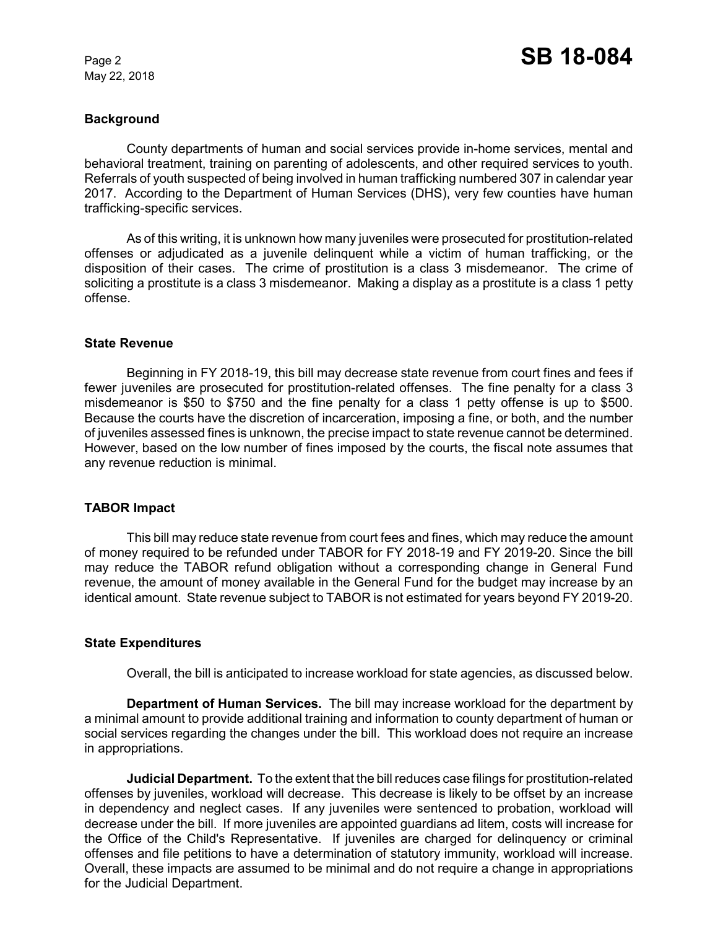May 22, 2018

### **Background**

County departments of human and social services provide in-home services, mental and behavioral treatment, training on parenting of adolescents, and other required services to youth. Referrals of youth suspected of being involved in human trafficking numbered 307 in calendar year 2017. According to the Department of Human Services (DHS), very few counties have human trafficking-specific services.

As of this writing, it is unknown how many juveniles were prosecuted for prostitution-related offenses or adjudicated as a juvenile delinquent while a victim of human trafficking, or the disposition of their cases. The crime of prostitution is a class 3 misdemeanor. The crime of soliciting a prostitute is a class 3 misdemeanor. Making a display as a prostitute is a class 1 petty offense.

#### **State Revenue**

Beginning in FY 2018-19, this bill may decrease state revenue from court fines and fees if fewer juveniles are prosecuted for prostitution-related offenses. The fine penalty for a class 3 misdemeanor is \$50 to \$750 and the fine penalty for a class 1 petty offense is up to \$500. Because the courts have the discretion of incarceration, imposing a fine, or both, and the number of juveniles assessed fines is unknown, the precise impact to state revenue cannot be determined. However, based on the low number of fines imposed by the courts, the fiscal note assumes that any revenue reduction is minimal.

# **TABOR Impact**

This bill may reduce state revenue from court fees and fines, which may reduce the amount of money required to be refunded under TABOR for FY 2018-19 and FY 2019-20. Since the bill may reduce the TABOR refund obligation without a corresponding change in General Fund revenue, the amount of money available in the General Fund for the budget may increase by an identical amount. State revenue subject to TABOR is not estimated for years beyond FY 2019-20.

#### **State Expenditures**

Overall, the bill is anticipated to increase workload for state agencies, as discussed below.

**Department of Human Services.** The bill may increase workload for the department by a minimal amount to provide additional training and information to county department of human or social services regarding the changes under the bill. This workload does not require an increase in appropriations.

**Judicial Department.** To the extent that the bill reduces case filings for prostitution-related offenses by juveniles, workload will decrease. This decrease is likely to be offset by an increase in dependency and neglect cases. If any juveniles were sentenced to probation, workload will decrease under the bill. If more juveniles are appointed guardians ad litem, costs will increase for the Office of the Child's Representative. If juveniles are charged for delinquency or criminal offenses and file petitions to have a determination of statutory immunity, workload will increase. Overall, these impacts are assumed to be minimal and do not require a change in appropriations for the Judicial Department.